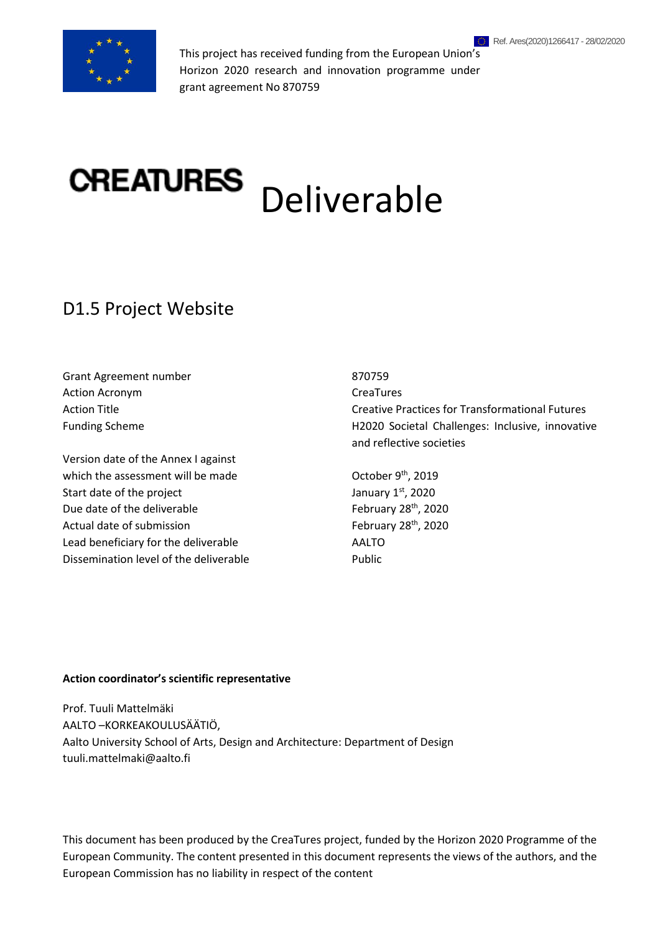

This project has received funding from the European Union's Horizon 2020 research and innovation programme under grant agreement No 870759

# CREATURES Deliverable

# D1.5 Project Website

Grant Agreement number 870759 Action Acronym **CreaTures** CreaTures

Version date of the Annex I against which the assessment will be made October 9<sup>th</sup>, 2019 Start date of the project Due date of the deliverable February 28<sup>th</sup>, 2020 Actual date of submission February 28<sup>th</sup>, 2020 Lead beneficiary for the deliverable Manuscriptum AALTO Dissemination level of the deliverable **Public** Public

Action Title Creative Practices for Transformational Futures Funding Scheme H2020 Societal Challenges: Inclusive, innovative and reflective societies

st , 2020

#### **Action coordinator's scientific representative**

Prof. Tuuli Mattelmäki AALTO –KORKEAKOULUSÄÄTIÖ, Aalto University School of Arts, Design and Architecture: Department of Design tuuli.mattelmaki@aalto.fi

This document has been produced by the CreaTures project, funded by the Horizon 2020 Programme of the European Community. The content presented in this document represents the views of the authors, and the European Commission has no liability in respect of the content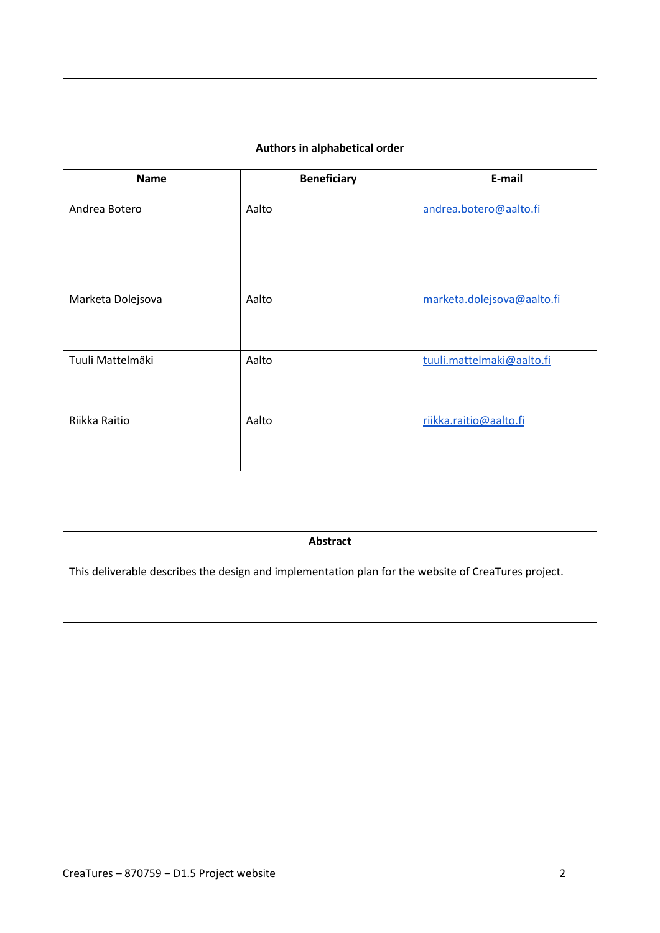| Authors in alphabetical order |                    |                            |  |  |
|-------------------------------|--------------------|----------------------------|--|--|
| <b>Name</b>                   | <b>Beneficiary</b> | E-mail                     |  |  |
| Andrea Botero                 | Aalto              | andrea.botero@aalto.fi     |  |  |
| Marketa Dolejsova             | Aalto              | marketa.dolejsova@aalto.fi |  |  |
| Tuuli Mattelmäki              | Aalto              | tuuli.mattelmaki@aalto.fi  |  |  |
| Riikka Raitio                 | Aalto              | riikka.raitio@aalto.fi     |  |  |

**Abstract**

This deliverable describes the design and implementation plan for the website of CreaTures project.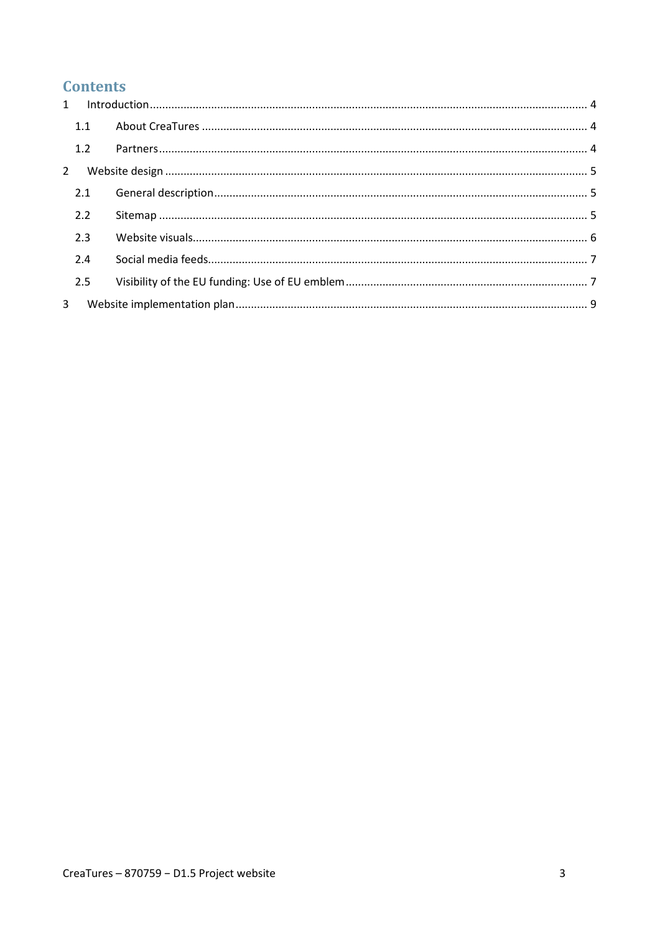# **Contents**

|             | 1.1 |  |
|-------------|-----|--|
|             | 1.2 |  |
| $2^{\circ}$ |     |  |
|             | 2.1 |  |
|             | 2.2 |  |
|             | 2.3 |  |
|             | 2.4 |  |
|             | 2.5 |  |
| 3           |     |  |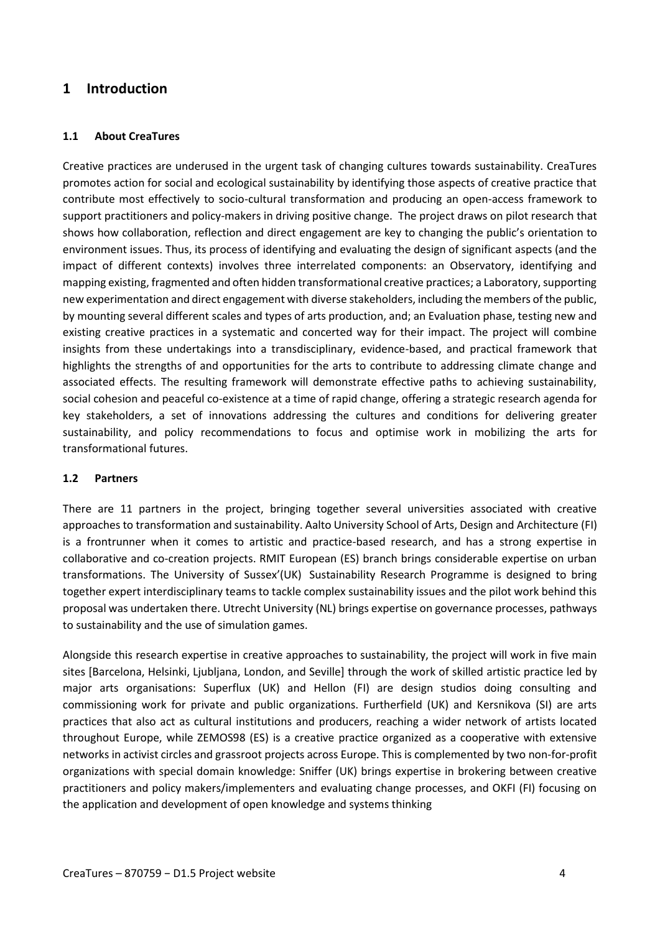### <span id="page-4-0"></span>**1 Introduction**

#### <span id="page-4-1"></span>**1.1 About CreaTures**

Creative practices are underused in the urgent task of changing cultures towards sustainability. CreaTures promotes action for social and ecological sustainability by identifying those aspects of creative practice that contribute most effectively to socio-cultural transformation and producing an open-access framework to support practitioners and policy-makers in driving positive change. The project draws on pilot research that shows how collaboration, reflection and direct engagement are key to changing the public's orientation to environment issues. Thus, its process of identifying and evaluating the design of significant aspects (and the impact of different contexts) involves three interrelated components: an Observatory, identifying and mapping existing, fragmented and often hidden transformational creative practices; a Laboratory, supporting new experimentation and direct engagement with diverse stakeholders, including the members of the public, by mounting several different scales and types of arts production, and; an Evaluation phase, testing new and existing creative practices in a systematic and concerted way for their impact. The project will combine insights from these undertakings into a transdisciplinary, evidence-based, and practical framework that highlights the strengths of and opportunities for the arts to contribute to addressing climate change and associated effects. The resulting framework will demonstrate effective paths to achieving sustainability, social cohesion and peaceful co-existence at a time of rapid change, offering a strategic research agenda for key stakeholders, a set of innovations addressing the cultures and conditions for delivering greater sustainability, and policy recommendations to focus and optimise work in mobilizing the arts for transformational futures.

#### <span id="page-4-2"></span>**1.2 Partners**

There are 11 partners in the project, bringing together several universities associated with creative approaches to transformation and sustainability. Aalto University School of Arts, Design and Architecture (FI) is a frontrunner when it comes to artistic and practice-based research, and has a strong expertise in collaborative and co-creation projects. RMIT European (ES) branch brings considerable expertise on urban transformations. The University of Sussex'(UK) Sustainability Research Programme is designed to bring together expert interdisciplinary teams to tackle complex sustainability issues and the pilot work behind this proposal was undertaken there. Utrecht University (NL) brings expertise on governance processes, pathways to sustainability and the use of simulation games.

Alongside this research expertise in creative approaches to sustainability, the project will work in five main sites [Barcelona, Helsinki, Ljubljana, London, and Seville] through the work of skilled artistic practice led by major arts organisations: Superflux (UK) and Hellon (FI) are design studios doing consulting and commissioning work for private and public organizations. Furtherfield (UK) and Kersnikova (SI) are arts practices that also act as cultural institutions and producers, reaching a wider network of artists located throughout Europe, while ZEMOS98 (ES) is a creative practice organized as a cooperative with extensive networks in activist circles and grassroot projects across Europe. This is complemented by two non-for-profit organizations with special domain knowledge: Sniffer (UK) brings expertise in brokering between creative practitioners and policy makers/implementers and evaluating change processes, and OKFI (FI) focusing on the application and development of open knowledge and systems thinking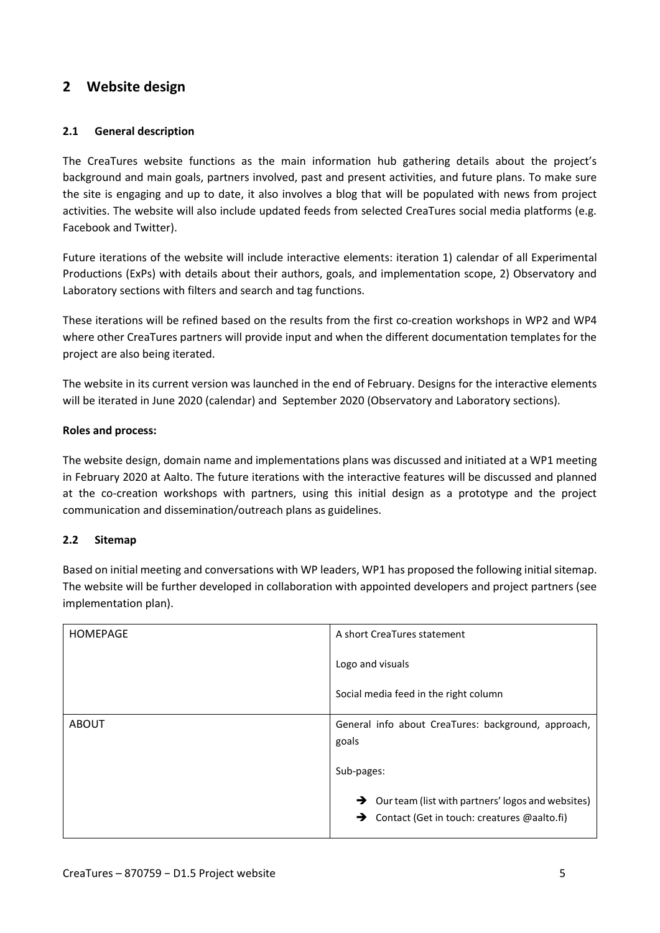## <span id="page-5-0"></span>**2 Website design**

#### <span id="page-5-1"></span>**2.1 General description**

The CreaTures website functions as the main information hub gathering details about the project's background and main goals, partners involved, past and present activities, and future plans. To make sure the site is engaging and up to date, it also involves a blog that will be populated with news from project activities. The website will also include updated feeds from selected CreaTures social media platforms (e.g. Facebook and Twitter).

Future iterations of the website will include interactive elements: iteration 1) calendar of all Experimental Productions (ExPs) with details about their authors, goals, and implementation scope, 2) Observatory and Laboratory sections with filters and search and tag functions.

These iterations will be refined based on the results from the first co-creation workshops in WP2 and WP4 where other CreaTures partners will provide input and when the different documentation templates for the project are also being iterated.

The website in its current version was launched in the end of February. Designs for the interactive elements will be iterated in June 2020 (calendar) and September 2020 (Observatory and Laboratory sections).

#### **Roles and process:**

The website design, domain name and implementations plans was discussed and initiated at a WP1 meeting in February 2020 at Aalto. The future iterations with the interactive features will be discussed and planned at the co-creation workshops with partners, using this initial design as a prototype and the project communication and dissemination/outreach plans as guidelines.

#### <span id="page-5-2"></span>**2.2 Sitemap**

Based on initial meeting and conversations with WP leaders, WP1 has proposed the following initial sitemap. The website will be further developed in collaboration with appointed developers and project partners (see implementation plan).

| <b>HOMEPAGE</b> | A short CreaTures statement                                     |
|-----------------|-----------------------------------------------------------------|
|                 | Logo and visuals                                                |
|                 | Social media feed in the right column                           |
| <b>ABOUT</b>    | General info about CreaTures: background, approach,             |
|                 | goals                                                           |
|                 | Sub-pages:                                                      |
|                 | $\rightarrow$ Our team (list with partners' logos and websites) |
|                 | $\rightarrow$ Contact (Get in touch: creatures @aalto.fi)       |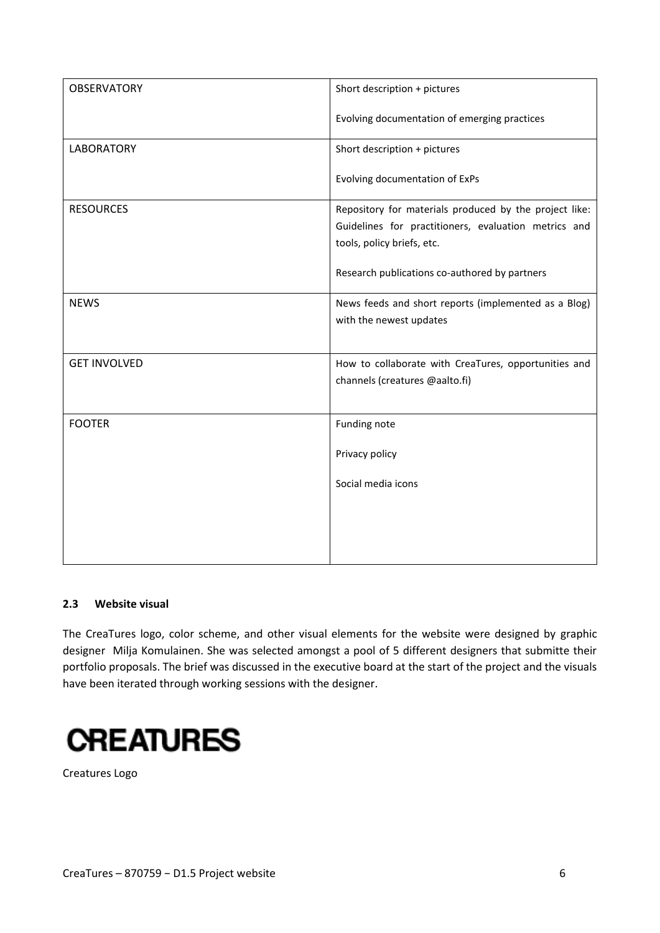| <b>OBSERVATORY</b>  | Short description + pictures                                                                                                                 |
|---------------------|----------------------------------------------------------------------------------------------------------------------------------------------|
|                     | Evolving documentation of emerging practices                                                                                                 |
| <b>LABORATORY</b>   | Short description + pictures                                                                                                                 |
|                     | Evolving documentation of ExPs                                                                                                               |
| <b>RESOURCES</b>    | Repository for materials produced by the project like:<br>Guidelines for practitioners, evaluation metrics and<br>tools, policy briefs, etc. |
|                     | Research publications co-authored by partners                                                                                                |
| <b>NEWS</b>         | News feeds and short reports (implemented as a Blog)<br>with the newest updates                                                              |
| <b>GET INVOLVED</b> | How to collaborate with CreaTures, opportunities and<br>channels (creatures @aalto.fi)                                                       |
| <b>FOOTER</b>       | Funding note                                                                                                                                 |
|                     | Privacy policy                                                                                                                               |
|                     | Social media icons                                                                                                                           |
|                     |                                                                                                                                              |
|                     |                                                                                                                                              |

#### <span id="page-6-0"></span>**2.3 Website visual**

The CreaTures logo, color scheme, and other visual elements for the website were designed by graphic designer Milja Komulainen. She was selected amongst a pool of 5 different designers that submitte their portfolio proposals. The brief was discussed in the executive board at the start of the project and the visuals have been iterated through working sessions with the designer.

# **CREATURES**

Creatures Logo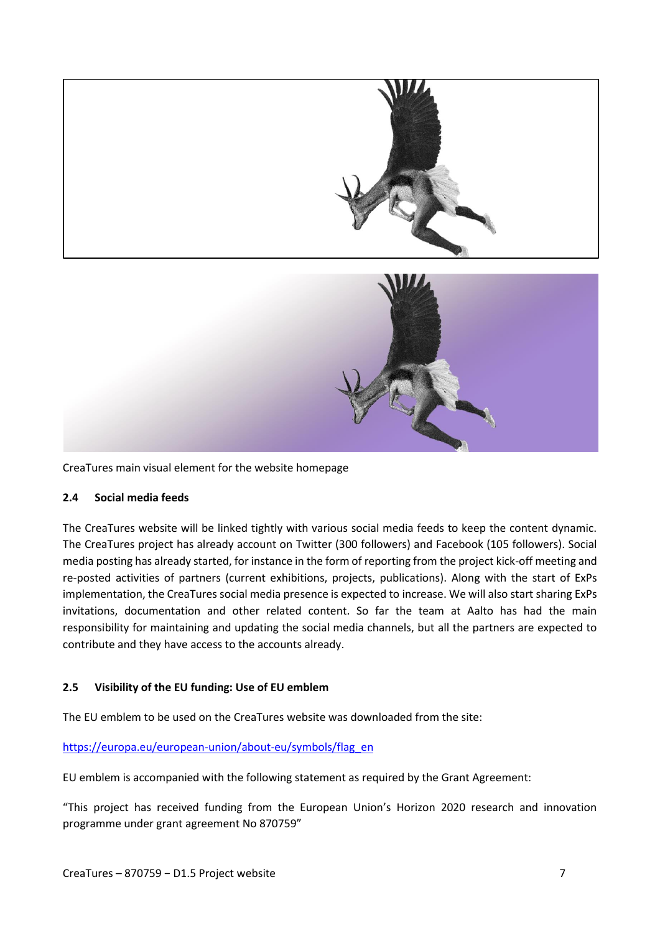

CreaTures main visual element for the website homepage

#### <span id="page-7-0"></span>**2.4 Social media feeds**

The CreaTures website will be linked tightly with various social media feeds to keep the content dynamic. The CreaTures project has already account on Twitter (300 followers) and Facebook (105 followers). Social media posting has already started, for instance in the form of reporting from the project kick-off meeting and re-posted activities of partners (current exhibitions, projects, publications). Along with the start of ExPs implementation, the CreaTures social media presence is expected to increase. We will also start sharing ExPs invitations, documentation and other related content. So far the team at Aalto has had the main responsibility for maintaining and updating the social media channels, but all the partners are expected to contribute and they have access to the accounts already.

#### <span id="page-7-1"></span>**2.5 Visibility of the EU funding: Use of EU emblem**

The EU emblem to be used on the CreaTures website was downloaded from the site:

#### [https://europa.eu/european-union/about-eu/symbols/flag\\_en](https://europa.eu/european-union/about-eu/symbols/flag_en)

EU emblem is accompanied with the following statement as required by the Grant Agreement:

"This project has received funding from the European Union's Horizon 2020 research and innovation programme under grant agreement No 870759"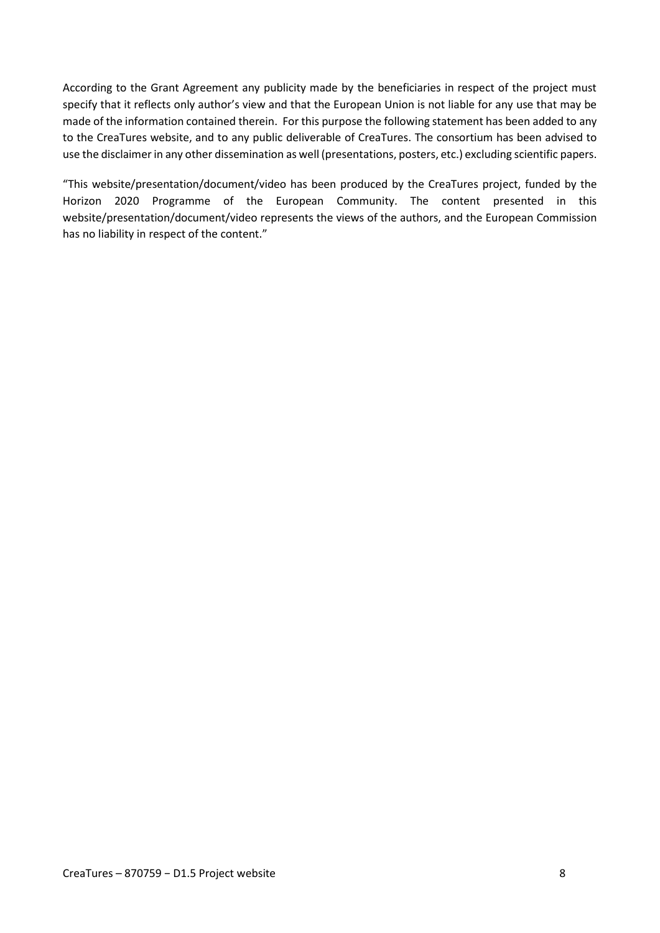According to the Grant Agreement any publicity made by the beneficiaries in respect of the project must specify that it reflects only author's view and that the European Union is not liable for any use that may be made of the information contained therein. For this purpose the following statement has been added to any to the CreaTures website, and to any public deliverable of CreaTures. The consortium has been advised to use the disclaimer in any other dissemination as well (presentations, posters, etc.) excluding scientific papers.

"This website/presentation/document/video has been produced by the CreaTures project, funded by the Horizon 2020 Programme of the European Community. The content presented in this website/presentation/document/video represents the views of the authors, and the European Commission has no liability in respect of the content."